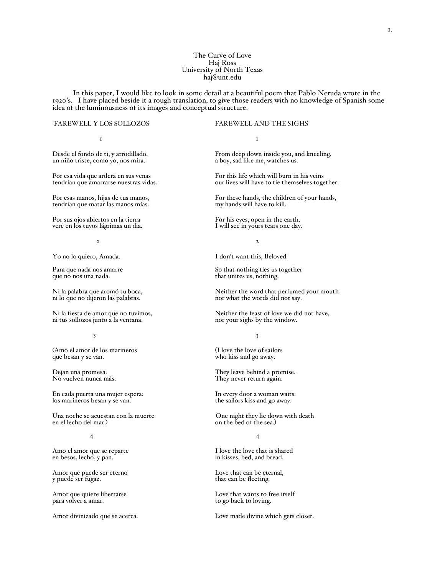# The Curve of Love Haj Ross University of North Texas haj@unt.edu

In this paper, <sup>I</sup> would like to look in some detail at <sup>a</sup> beautiful poem that Pablo Neruda wrote in the <sup>1920</sup>'s. <sup>I</sup> have placed beside it <sup>a</sup> rough translation, to give those readers with no knowledge of Spanish some idea of the luminousness of its images and conceptual structure.

### FAREWELL Y LOS SOLLOZOS FAREWELL AND THE SIGHS

1 1

un niño triste, como yo, nos mira.

tendrian que matar las manos mías.

veré en los tuyos lágrimas un dia.

ni lo que no dijeron las palabras.

(Amo el amor de los marineros (I love the love of sailors que besan y se van.  $\omega$  who kiss and go away.

En cada puerta una mujer espera: In every door a woman waits:<br>
los marineros besan y se van.<br>
In every door a woman waits:<br>
the sailors kiss and go away. los marineros besan y se van.

Una noche se acuestan con la muerte One night they lie down with death<br>en el lecho del mar.) One night they lie down with death<br>on the bed of the sea.)

Amor que puede ser eterno Love that can be eternal, y puede ser fugaz.<br>  $\frac{1}{2}$  that can be fleeting.

Desde el fondo de ti, y arrodillado, From deep down inside you, and kneeling,

Por esa vida que arderá en sus venas For this life which will burn in his veins tendrian que amarrarse nuestras vidas.<br>
To this life which will burn in his veins tendrian que amarrarse nuestras vidas. our lives will have to tie themselves together.

Por esas manos, hijas de tus manos, For these hands, the children of your hands, tendrian que matar las manos mías. The my hands will have to kill.

Por sus ojos abiertos en la tierra For his eyes, open in the earth,<br>
veré en los tuyos lágrimas un dia.<br>
I will see in yours tears one day.

 $2\overline{2}$ 

Yo no lo quiero, Amada. I don't want this, Beloved.

Para que nada nos amarre So that nothing ties us together que no nos una nada.<br>
that unites us, nothing. that unites us, nothing.

Ni la palabra que aromó tu boca,<br>
ni lo que no dijeron las palabras.<br>
nor what the words did not say.

Ni la fiesta de amor que no tuvimos,<br>
ni tus sollozos junto a la ventana.<br>
nor your sighs by the window. nor your sighs by the window.

 $3 \times 3$ 

who kiss and go away.

Dejan una promesa.<br>
No vuelven nunca más.<br>
No vuelven nunca más.<br>
They never return again. They never return again.

on the bed of the sea.)

## 4 4

Amo el amor que se reparte I love the love that is shared<br>en besos, lecho, y pan. I love that is shared in kisses, bed, and bread. in kisses, bed, and bread.

that can be fleeting.

Amor que quiere libertarse Love that wants to free itself para volver a amar.<br>
to go back to loving. to go back to loving.

Amor divinizado que se acerca. Love made divine which gets closer.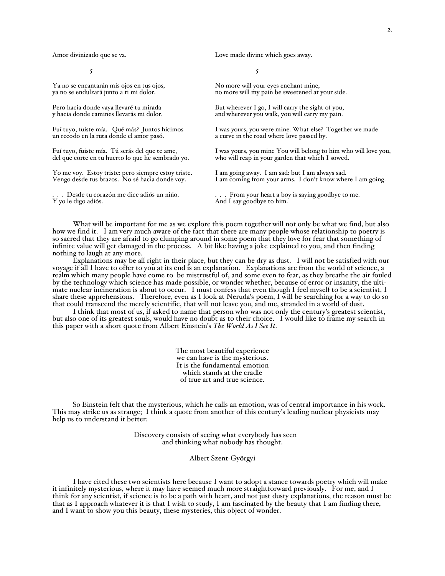$5 \overline{}$ 

Ya no se encantarán mis ojos en tus ojos,<br>
ya no se endulzará junto a ti mi dolor.<br>
no more will my pain be sweetened at

Yo me voy. Estoy triste: pero siempre estoy triste. I am going away. I am sad: but I am always sad.

Amor divinizado que se va. Love made divine which goes away.

no more will my pain be sweetened at your side.

Pero hacia donde vaya llevaré tu mirada But wherever I go, I will carry the sight of you, y hacia donde camines llevarás mi dolor. and wherever you walk, you will carry my pain. and wherever you walk, you will carry my pain.

Fuí tuyo, fuiste mía. Qué más? Juntos hicimos I was yours, you were mine. What else? Together we made un recodo en la ruta donde el amor pasó. a curve in the road where love passed by. a curve in the road where love passed by.

Fuí tuyo, fuiste mía. Tú serás del que te ame, I was yours, you mine You will belong to him who will love you, del que corte en tu huerto lo que he sembrado yo. Who will reap in your garden that which I sowed. who will reap in your garden that which I sowed.

I am coming from your arms. I don't know where I am going.

. . . Desde tu corazón me dice adiós un niño. . . . From your heart a boy is saying goodbye to me. And I say goodbye to him.

What will be important for me as we explore this poem together will not only be what we find, but also how we find it. I am very much aware of the fact that there are many people whose relationship to poetry is so sacred that they are afraid to go clumping around in some poem that they love for fear that something of infinite value will get damaged in the process. <sup>A</sup> bit like having <sup>a</sup> joke explained to you, and then finding nothing to laugh at any more.

Explanations may be all right in their place, but they can be dry as dust. I will not be satisfied with our voyage if all I have to offer to you at its end is an explanation. Explanations are from the world of science, a realm which many people have come to be mistrustful of, and some even to fear, as they breathe the air fouled by the technology which science has made possible, or wonder whether, because of error or insanity, the ultimate nuclear incineration is about to occur. I must confess that even though I feel myself to be a scientist, I share these apprehensions. Therefore, even as I look at Neruda's poem, I will be searching for a way to do so that could transcend the merely scientific, that will not leave you, and me, stranded in a world of dust.

I think that most of us, if asked to name that person who was not only the century's greatest scientist, but also one of its greatest souls, would have no doubt as to their choice. I would like to frame my search in this paper with a short quote from Albert Einstein's *The World As I See It*.

> The most beautiful experience we can have is the mysterious. It is the fundamental emotion which stands at the cradle of true art and true science.

So Einstein felt that the mysterious, which he calls an emotion, was of central importance in his work. This may strike us as strange; I think a quote from another of this century's leading nuclear physicists may help us to understand it better:

> Discovery consists of seeing what everybody has seen and thinking what nobody has thought.

> > Albert Szent-Györgyi

I have cited these two scientists here because I want to adopt a stance towards poetry which will make it infinitely mysterious, where it may have seemed much more straightforward previously. For me, and I think for any scientist, if science is to be a path with heart, and not just dusty explanations, the reason must be that as I approach whatever it is that I wish to study, I am fascinated by the beauty that I am finding there, and I want to show you this beauty, these mysteries, this object of wonder.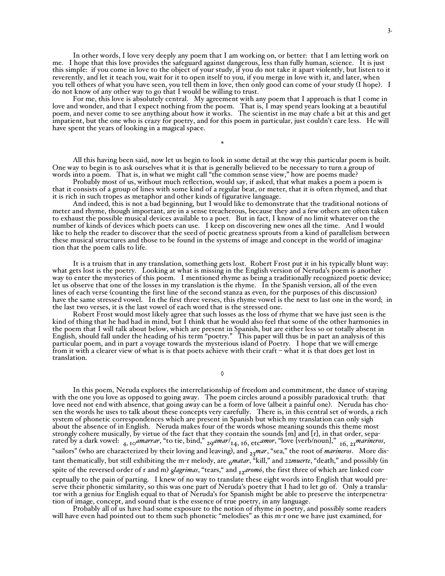In other words, I love very deeply any poem that I am working on, or better: that I am letting work on me. I hope that this love provides the safeguard against dangerous, less than fully human, science. It is just this simple: if you come in love to the object of your study, if you do not take it apart violently, but listen to it reverently, and let it teach you, wait for it to open itself to you, if you merge in love with it, and later, when you tell others of what you have seen, you tell them in love, then only good can come of your study (I hope). I do not know of any other way to go that I would be willing to trust.

For me, this love is absolutely central. My agreement with any poem that I approach is that I come in love and wonder, and that I expect nothing from the poem. That is, I may spend years looking at a beautiful poem, and never come to see anything about how it works. The scientist in me may chafe a bit at this and get impatient, but the one who is crazy for poetry, and for this poem in particular, just couldn't care less. He will have spent the years of looking in a magical space.

\*

All this having been said, now let us begin to look in some detail at the way this particular poem is built. One way to begin is to ask ourselves what it is that is generally believed to be necessary to turn <sup>a</sup> group of words into <sup>a</sup> poem. That is, in what we might call "the common sense view," how are poems made?

Probably most of us, without much reflection, would say, if asked, that what makes a poem a poem is that it consists of a group of lines with some kind of a regular beat, or meter, that it is often rhymed, and that it is rich in such tropes as metaphor and other kinds of figurative language.

And indeed, this is not a bad beginning, but I would like to demonstrate that the traditional notions of meter and rhyme, though important, are in a sense treacherous, because they and a few others are often taken to exhaust the possible musical devices available to a poet. But in fact, I know of no limit whatever on the number of kinds of devices which poets can use. I keep on discovering new ones all the time. And I would like to help the reader to discover that the seed of poetic greatness sprouts from a kind of parallelism between these musical structures and those to be found in the systems of image and concept in the world of imagination that the poem calls to life.

It is a truism that in any translation, something gets lost. Robert Frost put it in his typically blunt way: what gets lost is the poetry. Looking at what is missing in the English version of Neruda's poem is another way to enter the mysteries of this poem. I mentioned rhyme as being a traditionally recognized poetic device; let us observe that one of the losses in my translation is the rhyme. In the Spanish version, all of the even lines of each verse (counting the first line of the second stanza as even, for the purposes of this discussion) have the same stressed vowel. In the first three verses, this rhyme vowel is the next to last one in the word; in the last two verses, it is the last vowel of each word that is the stressed one.

Robert Frost would most likely agree that such losses as the loss of rhyme that we have just seen is the kind of thing that he had had in mind, but I think that he would also feel that some of the other harmonies in the poem that I will talk about below, which are present in Spanish, but are either less so or totally absent in English, should fall under the heading of his term "poetry." This paper will thus be in part an analysis of this particular poem, and in part a voyage towards the mysterious island of Poetry. I hope that we will emerge from it with a clearer view of what is is that poets achieve with their craft – what it is that does get lost in translation.

◊

In this poem, Neruda explores the interrelationship of freedom and commitment, the dance of staying with the one you love as opposed to going away. The poem circles around a possibly paradoxical truth: that love need not end with absence, that going away can be a form of love (albeit a painful one). Neruda has chosen the words he uses to talk about these concepts very carefully. There is, in this central set of words, a rich system of phonetic correspondences which are present in Spanish but which my translation can only sigh about the absence of in English. Neruda makes four of the words whose meaning sounds this theme most strongly cohere musically, by virtue of the fact that they contain the sounds [m] and [r], in that order, separated by a dark vowel: 4, <sup>10</sup>*amarrar*, "to tie, bind," 29*amar*/ 14, 16, etc*amor*, "love [verb/noun]," 16, 21 *marineros*, "sailors" (who are characterized by their loving and leaving), and <sub>23</sub>*mar*, "sea," the root of *marineros*. More distant thematically, but still exhibiting the m-r melody, are  $6$ *matar*, "kill," and 22*muerte*, "death," and possibly (in spite of the reversed order of r and m)  $_{\text{g}}$ *lagrimas*, "tears," and  $_{\text{I2}}$ *aromó*, the first three of which are linked conceptually to the pain of parting. I knew of no way to translate these eight words into English that would preserve their phonetic similarity, so this was one part of Neruda's poetry that I had to let go of. Only a translator with a genius for English equal to that of Neruda's for Spanish might be able to preserve the interpenetration of image, concept, and sound that is the essence of true poetry, in any language.

Probably all of us have had some exposure to the notion of rhyme in poetry, and possibly some readers will have even had pointed out to them such phonetic "melodies" as this m-r one we have just examined, for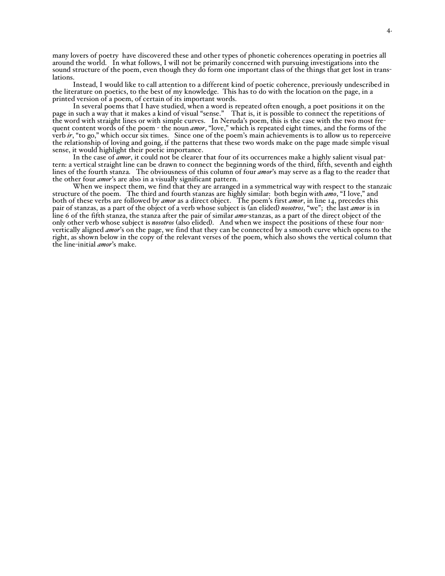many lovers of poetry have discovered these and other types of phonetic coherences operating in poetries all around the world. In what follows, I will not be primarily concerned with pursuing investigations into the sound structure of the poem, even though they do form one important class of the things that get lost in translations.

Instead, I would like to call attention to a different kind of poetic coherence, previously undescribed in the literature on poetics, to the best of my knowledge. This has to do with the location on the page, in a printed version of a poem, of certain of its important words.

In several poems that I have studied, when a word is repeated often enough, a poet positions it on the page in such a way that it makes a kind of visual "sense." That is, it is possible to connect the repetitions of the word with straight lines or with simple curves. In Neruda's poem, this is the case with the two most frequent content words of the poem - the noun *amor*, "love," which is repeated eight times, and the forms of the verb *ir*, "to go," which occur six times. Since one of the poem's main achievements is to allow us to reperceive the relationship of loving and going, if the patterns that these two words make on the page made simple visual sense, it would highlight their poetic importance.

In the case of *amor*, it could not be clearer that four of its occurrences make a highly salient visual pattern: a vertical straight line can be drawn to connect the beginning words of the third, fifth, seventh and eighth lines of the fourth stanza. The obviousness of this column of four *amor*'s may serve as a flag to the reader that the other four *amor*'s are also in a visually significant pattern.

When we inspect them, we find that they are arranged in a symmetrical way with respect to the stanzaic structure of the poem. The third and fourth stanzas are highly similar: both begin with *amo*, "I love," and both of these verbs are followed by *amor* as a direct object. The poem's first *amor*, in line 14, precedes this pair of stanzas, as a part of the object of a verb whose subject is (an elided) *nosotros*, "we"; the last *amor* is in line 6 of the fifth stanza, the stanza after the pair of similar *amo*-stanzas, as a part of the direct object of the only other verb whose subject is *nosotros* (also elided). And when we inspect the positions of these four nonvertically aligned *amor*'s on the page, we find that they can be connected by a smooth curve which opens to the right, as shown below in the copy of the relevant verses of the poem, which also shows the vertical column that the line-initial *amor*'s make.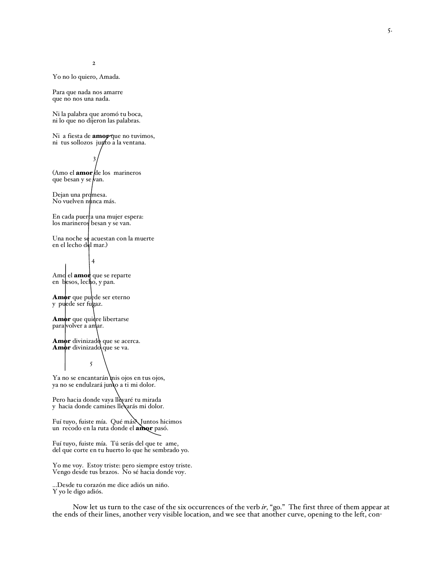2

Yo no lo quiero, Amada.

Para que nada nos amarre que no nos una nada.

Ni la palabra que aromó tu boca, ni lo que no dijeron las palabras.

Ni a fiesta de *amop* que no tuvimos, ni tus sollozos junto a la ventana.

3 (Amo el **amor** de los marineros que besan y se*|*van.

Dejan una promesa. No vuelven nunca más.

En cada puerta una mujer espera: los marineros besan y se van.

Una noche se acuestan con la muerte en el lecho del mar.)

4

Amo el **amor** que se reparte en besos, lecho, y pan.

Amor que puede ser eterno y puede ser fugaz.

Amor que quidre libertarse para volver a amar.

5

Amor divinizado que se acerca. Amor divinizado que se va.

Ya no se encantarán mis ojos en tus ojos, ya no se endulzará junto a ti mi dolor.

Pero hacia donde vaya llèvaré tu mirada y hacia donde camines llevarás mi dolor.

Fuí tuyo, fuiste mía. Qué más? Juntos hicimos un recodo en la ruta donde el amor pasó.

Fuí tuyo, fuiste mía. Tú serás del que te ame, del que corte en tu huerto lo que he sembrado yo.

Yo me voy. Estoy triste: pero siempre estoy triste. Vengo desde tus brazos. No sé hacia donde voy.

...Desde tu corazó<sup>n</sup> me dice adió<sup>s</sup> un niño. <sup>Y</sup> yo le digo adiós.

Now let us turn to the case of the six occurrences of the verb *ir,* "go." The first three of them appear at the ends of their lines, another very visible location, and we see that another curve, opening to the left, con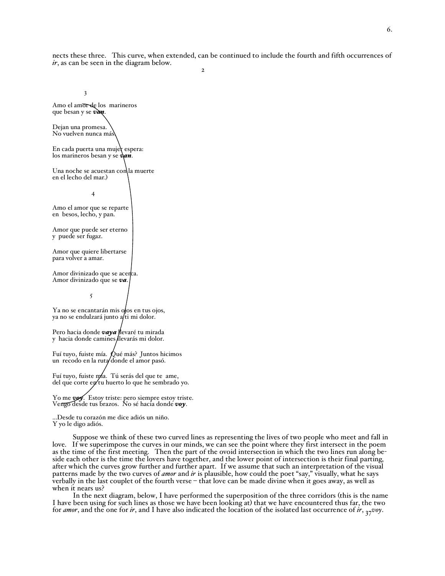nects these three. This curve, when extended, can be continued to include the fourth and fifth occurrences of *ir*, as can be seen in the diagram below.  $\overline{2}$ 

3

Amo el amor de los marineros que besan y se *van*. Dejan una promesa. No vuelven nunca más. En cada puerta una mujer espera: los marineros besan y se *van*. Una noche se acuestan con la muerte en el lecho del mar.) 4 Amo el amor que se reparte en besos, lecho, y pan. Amor que puede ser eterno y puede ser fugaz. Amor que quiere libertarse para volver a amar. Amor divinizado que se acerca. Amor divinizado que se *va*. 5 Ya no se encantarán mis ofos en tus ojos, ya no se endulzará junto a/ti mi dolor. Pero hacia donde **vaya** llevaré tu mirada y hacia donde camines llevarás mi dolor. Fuí tuyo, fuiste mía. Qué más? Juntos hicimos un recodo en la ruta donde el amor pasó. Fuí tuyo, fuiste mía. Tú serás del que te ame, del que corte en tu huerto lo que he sembrado yo. Yo me **voy**. Estoy triste: pero siempre estoy triste. Vengo desde tus brazos. No sé hacia donde *voy*. ...Desde tu corazón me dice adiós un niño. Y yo le digo adiós.

Suppose we think of these two curved lines as representing the lives of two people who meet and fall in love. If we superimpose the curves in our minds, we can see the point where they first intersect in the poem as the time of the first meeting. Then the part of the ovoid intersection in which the two lines run along beside each other is the time the lovers have together, and the lower point of intersection is their final parting, after which the curves grow further and further apart. If we assume that such an interpretation of the visual patterns made by the two curves of *amor* and *ir* is plausible, how could the poet "say," visually, what he says verbally in the last couplet of the fourth verse – that love can be made divine when it goes away, as well as when it nears us?

In the next diagram, below, I have performed the superposition of the three corridors (this is the name I have been using for such lines as those we have been looking at) that we have encountered thus far, the two for *amor*, and the one for *ir*, and I have also indicated the location of the isolated last occurrence of *ir*,  $_{37}$ *voy*.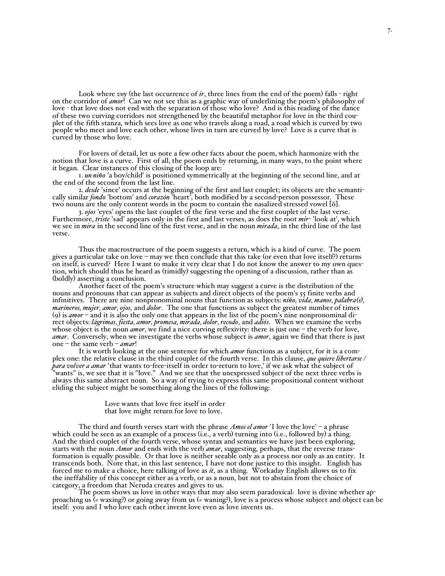Look where *voy* (the last occurrence of *ir*, three lines from the end of the poem) falls - right on the corridor of *amor*! Can we not see this as a graphic way of underlining the poem's philosophy of love - that love does not end with the separation of those who love? And is this reading of the dance of these two curving corridors not strengthened by the beautiful metaphor for love in the third couplet of the fifth stanza, which sees love as one who travels along a road, a road which is curved by two people who meet and love each other, whose lives in turn are curved by love? Love is a curve that is curved by those who love.

For lovers of detail, let us note <sup>a</sup> few other facts about the poem, which harmonize with the notion that love is <sup>a</sup> curve. First of all, the poem ends by returning, in many ways, to the point where it began. Clear instances of this closing of the loop are:

1. *un niño* 'a boy/child' is positioned symmetrically at the beginning of the second line, and at the end of the second from the last line.

2. *desde* 'since' occurs at the beginning of the first and last couplet; its objects are the semantically similar *fondo* 'bottom' and *corazón* 'heart', both modified by a second-person possessor. These two nouns are the only content words in the poem to contain the nasalized stressed vowel [õ].

3. *ojos* 'eyes' opens the last couplet of the first verse and the first couplet of the last verse. Furthermore, *triste* 'sad' appears only in the first and last verses, as does the root *mir*- 'look at', which we see in *mira* in the second line of the first verse, and in the noun *mirada*, in the third line of the last verse.

Thus the macrostructure of the poem suggests a return, which is a kind of curve. The poem gives a particular take on love – may we then conclude that this take (or even that love itself?) returns on itself, is curved? Here I want to make it very clear that I do not know the answer to my own question, which should thus be heard as (timidly) suggesting the opening of a discussion, rather than as (boldly) asserting a conclusion.

Another facet of the poem's structure which may suggest a curve is the distribution of the nouns and pronouns that can appear as subjects and direct objects of the poem's 55 finite verbs and infinitives. There are nine nonpronominal nouns that function as subjects: *niño, vida, manos, palabra(s), marineros, mujer, amor, ojos,* and *dolor*. The one that functions as subject the greatest number of times (9) is *amor* – and it is also the only one that appears in the list of the poem's nine nonpronominal direct objects: *lágrimas, fiesta, amor, promesa, mirada, dolor,recodo*, and *adiós*. When we examine the verbs whose object is the noun *amor*, we find a nice curving reflexivity: there is just one – the verb for love, *amar*. Conversely, when we investigate the verbs whose subject is *amor*, again we find that there is just one – the same verb – *amar*!

It is worth looking at the one sentence for which *amor* functions as a subject, for it is a complex one: the relative clause in the third couplet of the fourth verse. In this clause, *que quiere libertarse / para volver a amar* 'that wants to-free-itself in order to-return to love,' if we ask what the subject of "wants" is, we see that it is "love." And we see that the unexpressed subject of the next three verbs is always this same abstract noun. So a way of trying to express this same propositional content without eliding the subject might be something along the lines of the following:

> Love wants that love free itself in order that love might return for love to love.

The third and fourth verses start with the phrase *Amos el amor* 'I love the love' – a phrase which could be seen as an example of a process (i.e., a verb) turning into (i.e., followed by) a thing. And the third couplet of the fourth verse, whose syntax and semantics we have just been exploring, starts with the noun *Amor* and ends with the verb *amar*, suggesting, perhaps, that the reverse transformation is equally possible. Or that love is neither seeable only as a process nor only as an entity. It transcends both. Note that, in this last sentence, I have not done justice to this insight. English has forced me to make a choice, here talking of love as *it*, as a thing. Workaday English allows us to fix the ineffability of this concept either as a verb, or as a noun, but not to abstain from the choice of category, a freedom that Neruda creates and gives to us.

The poem shows us love in other ways that may also seem paradoxical: love is divine whether approaching us (= waxing?) or going away from us (= waning?), love is a process whose subject and object can be itself: you and I who love each other invent love even as love invents us.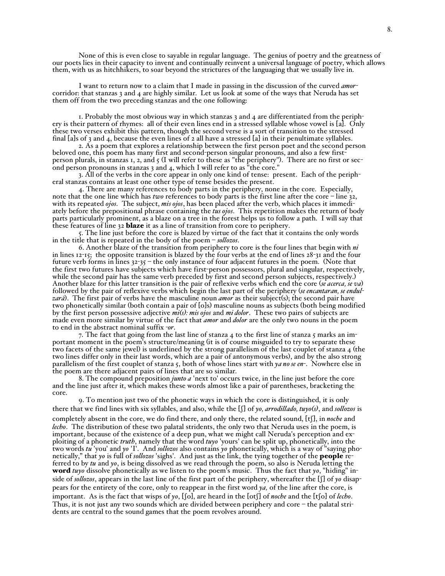None of this is even close to sayable in regular language. The genius of poetry and the greatness of our poets lies in their capacity to invent and continually reinvent a universal language of poetry, which allows them, with us as hitchhikers, to soar beyond the strictures of the languaging that we usually live in.

I want to return now to a claim that I made in passing in the discussion of the curved *amor*corridor: that stanzas 3 and 4 are highly similar. Let us look at some of the ways that Neruda has set them off from the two preceding stanzas and the one following:

1. Probably the most obvious way in which stanzas 3 and 4 are differentiated from the periphery is their pattern of rhymes: all of their even lines end in a stressed syllable whose vowel is [a]. Only these two verses exhibit this pattern, though the second verse is a sort of transition to the stressed final [a]s of 3 and 4, because the even lines of 2 all have a stressed [a] in their penultimate syllables.

2. As a poem that explores a relationship between the first person poet and the second person beloved one, this poem has many first and second-person singular pronouns, and also a few firstperson plurals, in stanzas 1, 2, and 5 (I will refer to these as "the periphery"). There are no first or second person pronouns in stanzas 3 and 4, which I will refer to as "the core."

3. All of the verbs in the core appear in only one kind of tense: present. Each of the peripheral stanzas contains at least one other type of tense besides the present.

4. There are many references to body parts in the periphery, none in the core. Especially, note that the one line which has *two* references to body parts is the first line after the core – line 32, with its repeated *ojos*. The subject, *mis ojos*, has been placed after the verb, which places it immediately before the prepositional phrase containing the *tus ojos*. This repetition makes the return of body parts particularly prominent, as a blaze on a tree in the forest helps us to follow a path. I will say that these features of line 32 blaze it as a line of transition from core to periphery.

5. The line just before the core is blazed by virtue of the fact that it contains the only words in the title that is repeated in the body of the poem – *sollozos*.

6. Another blaze of the transition from periphery to core is the four lines that begin with *ni* in lines 12-15; the opposite transition is blazed by the four verbs at the end of lines 28-31 and the four future verb forms in lines 32-35 – the only instance of four adjacent futures in the poem. (Note that the first two futures have subjects which have first-person possessors, plural and singular, respectively, while the second pair has the same verb preceded by first and second person subjects, respectively.) Another blaze for this latter transition is the pair of reflexive verbs which end the core (*se acerca, se va*) followed by the pair of reflexive verbs which begin the last part of the periphery (*se encantaran, se endulzará*). The first pair of verbs have the masculine noun *amor* as their subject(s); the second pair have two phonetically similar (both contain a pair of [o]s) masculine nouns as subjects (both being modified by the first person possessive adjective *mi(s): mis ojos* and *mi dolor*. These two pairs of subjects are made even more similar by virtue of the fact that *amor* and *dolor* are the only two nouns in the poem to end in the abstract nominal suffix -*or*.

7. The fact that going from the last line of stanza 4 to the first line of stanza 5 marks an important moment in the poem's structure/meaning (it is of course misguided to try to separate these two facets of the same jewel) is underlined by the strong parallelism of the last couplet of stanza 4 (the two lines differ only in their last words, which are a pair of antonymous verbs), and by the also strong parallelism of the first couplet of stanza 5, both of whose lines start with *ya no se en*-. Nowhere else in the poem are there adjacent pairs of lines that are so similar.

8. The compound preposition *junto a* 'next to' occurs twice, in the line just before the core and the line just after it, which makes these words almost like a pair of parentheses, bracketing the core.

9. To mention just two of the phonetic ways in which the core is distinguished, it is only there that we find lines with six syllables, and also, while the  $[\cdot]$  of *yo, arrodillado, tuyo* $(s)$ , and *sollozos* is completely absent in the core, we do find there, and only there, the related sound, [tS], in *noche* and *lecho*. The distribution of these two palatal stridents, the only two that Neruda uses in the poem, is important, because of the existence of a deep pun, what we might call Neruda's perception and exploiting of a phonetic *truth*, namely that the word *tuyo* 'yours' can be split up, phonetically, into the two words *tu* 'you' and *yo* 'I'. And *sollozos* also contains *yo* phonetically, which is a way of "saying phonetically," that *yo* is full of *sollozos* 'sighs'. And just as the link, the tying together of the people referred to by *tu* and *yo*, is being dissolved as we read through the poem, so also is Neruda letting the word *tuyo* dissolve phonetically as we listen to the poem's music. Thus the fact that *yo*, "hiding" inside of *sollozos*, appears in the last line of the first part of the periphery, whereafter the [f] of *yo* disappears for the entirety of the core, only to reappear in the first word *ya,* of the line after the core, is important. As is the fact that wisps of  $y_0$ ,  $[6]$ , are heard in the  $[6]$  of *noche* and the  $[t]$ o] of *lecho*. Thus, it is not just any two sounds which are divided between periphery and core – the palatal stridents are central to the sound games that the poem revolves around.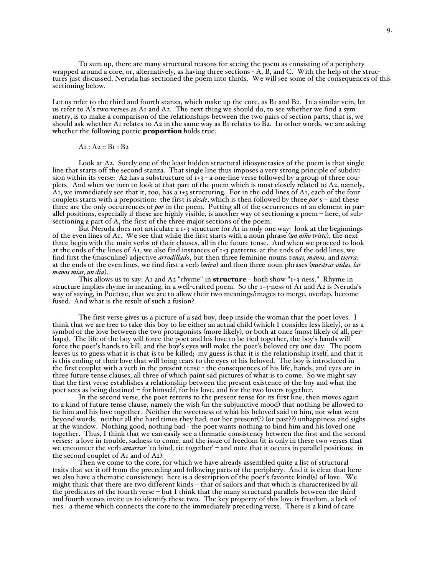To sum up, there are many structural reasons for seeing the poem as consisting of a periphery wrapped around a core, or, alternatively, as having three sections - A, B, and C. With the help of the structures just discussed, Neruda has sectioned the poem into thirds. We will see some of the consequences of this sectioning below.

Let us refer to the third and fourth stanza, which make up the core, as B<sub>1</sub> and B<sub>2</sub>. In a similar vein, let us refer to A's two verses as A1 and A2. The next thing we should do, to see whether we find a symmetry, is to make a comparison of the relationships between the two pairs of section parts, that is, we should ask whether A1 relates to A2 in the same way as B1 relates to  $\vec{B}z$ . In other words, we are asking whether the following poetic **proportion** holds true:

# $A$ <sub>I</sub> :  $A$ <sub>2</sub> ::  $B$ <sub>I</sub> :  $B$ <sub>2</sub>

Look at A2. Surely one of the least hidden structural idiosyncrasies of the poem is that single line that starts off the second stanza. That single line thus imposes a very strong principle of subdivision within its verse: A2 has a substructure of  $\tilde{i}+3$  - a one-line verse followed by a group of three couplets. And when we turn to look at that part of the poem which is most closely related to A2, namely, A1, we immediately see that it, too, has a  $1+3$  structuring. For in the odd lines of A1, each of the four couplets starts with a preposition: the first is *desde*, which is then followed by three *por*'s – and these three are the only occurrences of *por* in the poem. Putting all of the occurrences of an element in parallel positions, especially if these are highly visible, is another way of sectioning a poem – here, of subsectioning a part of A, the first of the three major sections of the poem.

But Neruda does not articulate a  $1+3$  structure for A1 in only one way: look at the beginnings of the even lines of A1. We see that while the first starts with a noun phrase (*un niño triste*), the next three begin with the main verbs of their clauses, all in the future tense. And when we proceed to look at the ends of the lines of A1, we also find instances of 1+3 patterns: at the ends of the odd lines, we find first the (masculine) adjective *arrodillado*, but then three feminine nouns *venas, manos,* and *tierra*; at the ends of the even lines, we find first a verb (*mira*) and then three noun phrases (*nuestras vidas, las manos mias, un dia*).

This allows us to say: A1 and A2 "rhyme" in structure - both show "1+3-ness." Rhyme in structure implies rhyme in meaning, in a well-crafted poem. So the 1+3-ness of A1 and A2 is Neruda's way of saying, in Poetese, that we are to allow their two meanings/images to merge, overlap, become fused. And what is the result of such a fusion?

The first verse gives us a picture of a sad boy, deep inside the woman that the poet loves. I think that we are free to take this boy to be either an actual child (which I consider less likely), or as a symbol of the love between the two protagonists (more likely), or both at once (most likely of all, perhaps). The life of the boy will force the poet and his love to be tied together, the boy's hands will force the poet's hands to kill; and the boy's eyes will make the poet's beloved cry one day. The poem leaves us to guess what it is that is to be killed; my guess is that it is the relationship itself, and that it is this ending of their love that will bring tears to the eyes of his beloved. The boy is introduced in the first couplet with a verb in the present tense - the consequences of his life, hands, and eyes are in three future tense clauses, all three of which paint sad pictures of what is to come. So we might say that the first verse establishes a relationship between the present existence of the boy and what the poet sees as being destined – for himself, for his love, and for the two lovers together.

In the second verse, the poet returns to the present tense for its first line, then moves again to a kind of future tense clause, namely the wish (in the subjunctive mood) that nothing be allowed to tie him and his love together. Neither the sweetness of what his beloved said to him, nor what went beyond words; neither all the hard times they had, nor her present(?) (or past??) unhappiness and sighs at the window. Nothing good, nothing bad - the poet wants nothing to bind him and his loved one together. Thus, I think that we can easily see a thematic consistency between the first and the second verses: a love in trouble, sadness to come, and the issue of freedom (it is only in these two verses that we encounter the verb *amarrar* 'to bind, tie together' – and note that it occurs in parallel positions: in the second couplet of A<sub>1</sub> and of A<sub>2</sub>).

Then we come to the core, for which we have already assembled quite a list of structural traits that set it off from the preceding and following parts of the periphery. And it is clear that here we also have a thematic consistency: here is a description of the poet's favorite kind(s) of love. We might think that there are two different kinds – that of sailors and that which is characterized by all the predicates of the fourth verse – but I think that the many structural parallels between the third and fourth verses invite us to identify these two. The key property of this love is freedom, a lack of ties - a theme which connects the core to the immediately preceding verse. There is a kind of care-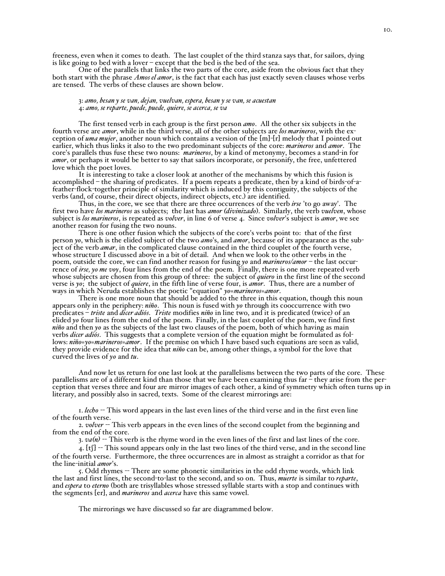freeness, even when it comes to death. The last couplet of the third stanza says that, for sailors, dying is like going to bed with a lover – except that the bed is the bed of the sea.

One of the parallels that links the two parts of the core, aside from the obvious fact that they both start with the phrase *Amos el amor*, is the fact that each has just exactly seven clauses whose verbs are tensed. The verbs of these clauses are shown below.

# 3: *amo, besan y se van, dejan, vuelvan, espera, besan y se van, se acuestan* 4: *amo, se reparte, puede, puede, quiere, se acerca, se va*

The first tensed verb in each group is the first person *amo*. All the other six subjects in the fourth verse are *amor*, while in the third verse, all of the other subjects are *los marineros*, with the exception of *uma mujer*, another noun which contains a version of the [m]-[r] melody that I pointed out earlier, which thus links it also to the two predominant subjects of the core: *marineros* and *amor*. The core's parallels thus fuse these two nouns: *marineros*, by a kind of metonymy, becomes a stand-in for *amor*, or perhaps it would be better to say that sailors incorporate, or personify, the free, unfettered love which the poet loves.

It is interesting to take a closer look at another of the mechanisms by which this fusion is accomplished – the sharing of predicates. If a poem repeats a predicate, then by a kind of birds-of-afeather-flock-together principle of similarity which is induced by this contiguity, the subjects of the verbs (and, of course, their direct objects, indirect objects, etc.) are identified.

Thus, in the core, we see that there are three occurrences of the verb *irse* 'to go away'. The first two have *los marineros* as subjects; the last has *amor (divinizado*). Similarly, the verb *vuelven*, whose subject is *los marineros*, is repeated as *volver*, in line 6 of verse 4. Since *volver*'s subject is *amor*, we see another reason for fusing the two nouns.

There is one other fusion which the subjects of the core's verbs point to: that of the first person *yo*, which is the elided subject of the two *amo*'s, and *amor*, because of its appearance as the subject of the verb *amar*, in the complicated clause contained in the third couplet of the fourth verse, whose structure I discussed above in a bit of detail. And when we look to the other verbs in the poem, outside the core, we can find another reason for fusing *yo* and *marineros/amor* – the last occurrence of *irse, yo me voy*, four lines from the end of the poem. Finally, there is one more repeated verb whose subjects are chosen from this group of three: the subject of *quiero* in the first line of the second verse is *yo*; the subject of *quiere*, in the fifth line of verse four, is *amor*. Thus, there are a number of ways in which Neruda establishes the poetic "equation" *yo=marineros=amor*.

There is one more noun that should be added to the three in this equation, though this noun appears only in the periphery: *niño*. This noun is fused with *yo* through its cooccurrence with two predicates – *triste* and *dicer adiós*. *Triste* modifies *niño* in line two, and it is predicated (twice) of an elided *yo* four lines from the end of the poem. Finally, in the last couplet of the poem, we find first *niño* and then *yo* as the subjects of the last two clauses of the poem, both of which having as main verbs *dicer adiós*. This suggests that a complete version of the equation might be formulated as follows: *niño=yo=marineros=amor*. If the premise on which I have based such equations are seen as valid, they provide evidence for the idea that *niño* can be, among other things, a symbol for the love that curved the lives of *yo* and *tu*.

And now let us return for one last look at the parallelisms between the two parts of the core. These parallelisms are of a different kind than those that we have been examining thus far – they arise from the perception that verses three and four are mirror images of each other, a kind of symmetry which often turns up in literary, and possibly also in sacred, texts. Some of the clearest mirrorings are:

1. *lecho* -- This word appears in the last even lines of the third verse and in the first even line of the fourth verse.

2. *volver* - This verb appears in the even lines of the second couplet from the beginning and from the end of the core.

3. *va(n)* -- This verb is the rhyme word in the even lines of the first and last lines of the core.

4. [tS] -- This sound appears only in the last two lines of the third verse, and in the second line of the fourth verse. Furthermore, the three occurrences are in almost as straight a corridor as that for the line-initial *amor*'s.

5. Odd rhymes -- There are some phonetic similarities in the odd rhyme words, which link the last and first lines, the second-to-last to the second, and so on. Thus, *muerte* is similar to *reparte*, and *espera* to *eterno* (both are trisyllables whose stressed syllable starts with a stop and continues with the segments [er], and *marineros* and *acerca* have this same vowel.

The mirrorings we have discussed so far are diagrammed below.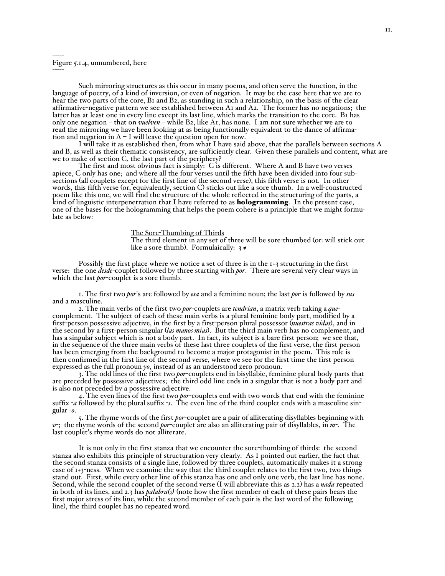## ----- Figure 5.1.4, unnumbered, here

-----

Such mirroring structures as this occur in many poems, and often serve the function, in the language of poetry, of a kind of inversion, or even of negation. It may be the case here that we are to hear the two parts of the core, B1 and B2, as standing in such a relationship, on the basis of the clear affirmative-negative pattern we see established between A1 and A2. The former has no negations; the latter has at least one in every line except its last line, which marks the transition to the core. B1 has only one negation – that on *vuelven* – while B2, like A1, has none. I am not sure whether we are to read the mirroring we have been looking at as being functionally equivalent to the dance of affirmation and negation in  $A - I$  will leave the question open for now.

I will take it as established then, from what I have said above, that the parallels between sections A and B, as well as their thematic consistency, are sufficiently clear. Given these parallels and content, what are we to make of section C, the last part of the periphery?

The first and most obvious fact is simply: C is different. Where A and B have two verses apiece, C only has one; and where all the four verses until the fifth have been divided into four subsections (all couplets except for the first line of the second verse), this fifth verse is not. In other words, this fifth verse (or, equivalently, section C) sticks out like a sore thumb. In a well-constructed poem like this one, we will find the structure of the whole reflected in the structuring of the parts, a kind of linguistic interpenetration that I have referred to as **hologramming**. In the present case, one of the bases for the hologramming that helps the poem cohere is a principle that we might formulate as below:

> The Sore-Thumbing of Thirds The third element in any set of three will be sore-thumbed (or: will stick out like a sore thumb). Formulaically:  $3 \neq$

Possibly the first place where we notice a set of three is in the 1+3 structuring in the first verse: the one *desde*-couplet followed by three starting with *por*. There are several very clear ways in which the last *por*-couplet is a sore thumb.

1. The first two *por*'s are followed by *esa* and a feminine noun; the last *por* is followed by *sus* and a masculine.

2. The main verbs of the first two *por*-couplets are *tendrian*, a matrix verb taking a *que*complement. The subject of each of these main verbs is a plural feminine body part, modified by a first-person possessive adjective, in the first by a first-person plural possessor (*nuestras vidas*), and in the second by a first-person singular (*las manos mias*). But the third main verb has no complement, and has a singular subject which is not a body part. In fact, its subject is a bare first person; we see that, in the sequence of the three main verbs of these last three couplets of the first verse, the first person has been emerging from the background to become a major protagonist in the poem. This role is then confirmed in the first line of the second verse, where we see for the first time the first person expressed as the full pronoun *yo*, instead of as an understood zero pronoun.

3. The odd lines of the first two *por*-couplets end in bisyllabic, feminine plural body parts that are preceded by possessive adjectives; the third odd line ends in a singular that is not a body part and is also not preceded by a possessive adjective.

4. The even lines of the first two *por*-couplets end with two words that end with the feminine suffix -*a* followed by the plural suffix -*s*. The even line of the third couplet ends with a masculine singular -*o*.

5. The rhyme words of the first *por*-couplet are a pair of alliterating disyllables beginning with *v*-; the rhyme words of the second *por*-couplet are also an alliterating pair of disyllables, in *m*-. The last couplet's rhyme words do not alliterate.

It is not only in the first stanza that we encounter the sore-thumbing of thirds: the second stanza also exhibits this principle of structuration very clearly. As I pointed out earlier, the fact that the second stanza consists of a single line, followed by three couplets, automatically makes it a strong case of 1+3-ness. When we examine the way that the third couplet relates to the first two, two things stand out. First, while every other line of this stanza has one and only one verb, the last line has none. Second, while the second couplet of the second verse (I will abbreviate this as 2.2) has a *nada* repeated in both of its lines, and 2.3 has *palabra(s)* (note how the first member of each of these pairs bears the first major stress of its line, while the second member of each pair is the last word of the following line), the third couplet has no repeated word.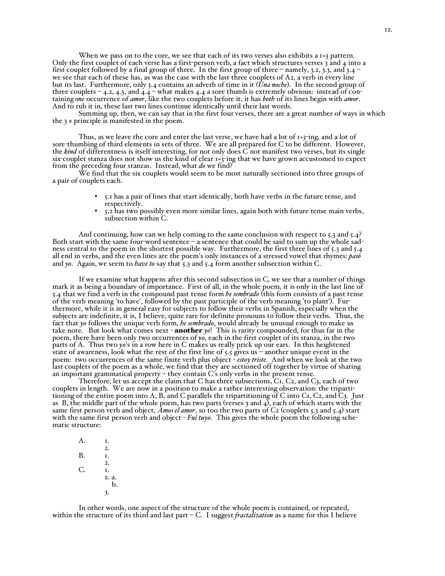When we pass on to the core, we see that each of its two verses also exhibits a 1+3 pattern. Only the first couplet of each verse has a first-person verb, a fact which structures verses 3 and 4 into a first couplet followed by a final group of three. In the first group of three – namely, 3.2, 3.3, and 3.4 – we see that each of these has, as was the case with the last three couplets of A2, a verb in every line but its last. Furthermore, only 3.4 contains an adverb of time in it (*Una noche*). In the second group of three couplets – 4.2, 4.3, and 4.4 – what makes 4.4 a sore thumb is extremely obvious: instead of containing *one* occurrence of *amor*, like the two couplets before it, it has *both* of its lines begin with *amor*. And to rub it in, these last two lines continue identically until their last words. Summing up, then, we can say that in the first four verses, there are <sup>a</sup> great number of ways in which

the  $3 \neq$  principle is manifested in the poem.

Thus, as we leave the core and enter the last verse, we have had a lot of  $1+3$ -ing, and a lot of sore-thumbing of third elements in sets of three. We are all prepared for C to be different. However, the *kind* of differentness is itself interesting, for not only does C not manifest two verses, but its single six-couplet stanza does not show us the kind of clear 1+3-ing that we have grown accustomed to expect from the preceding four stanzas. Instead, what *do* we find?

We find that the six couplets would seem to be most naturally sectioned into three groups of a pair of couplets each.

- \* 5.1 has a pair of lines that start identically, both have verbs in the future tense, and respectively.
- 5.2 has two possibly even more similar lines, again both with future tense main verbs, subsection within C.

And continuing, how can we help coming to the same conclusion with respect to 5.3 and 5.4? Both start with the same four-word sentence – a sentence that could be said to sum up the whole sadness central to the poem in the shortest possible way. Furthermore, the first three lines of 5.3 and 5.4 all end in verbs, and the even lines are the poem's only instances of a stressed vowel that rhymes: *pasó* and *yo*. Again, we seem to *have to* say that 5.3 and 5.4 form another subsection within C.

If we examine what happens after this second subsection in C, we see that a number of things mark it as being a boundary of importance. First of all, in the whole poem, it is only in the last line of 5.4 that we find a verb in the compound past tense form *he sembrado* (this form consists of a past tense of the verb meaning 'to have', followed by the past participle of the verb meaning 'to plant'). Furthermore, while it is in general easy for subjects to follow their verbs in Spanish, especially when the subjects are indefinite, it is, I believe, quite rare for definite pronouns to follow their verbs. Thus, the fact that *yo* follows the unique verb form, *he sembrado*, would already be unusual enough to make us take note. But look what comes next - another *yo*! This is rarity compounded, for thus far in the poem, there have been only two occurrences of *yo*, each in the first couplet of its stanza, in the two parts of A. Thus two *yo*'s in a row here in C makes us really prick up our ears. In this heightened state of awareness, look what the rest of the first line of  $5.5$  gives us – another unique event in the poem: two occurrences of the same finite verb plus object - *estoy triste*. And when we look at the two last couplets of the poem as a whole, we find that they are sectioned off together by virtue of sharing an important grammatical property – they contain C's only verbs in the present tense.

Therefore, let us accept the claim that C has three subsections, C1, C2, and C3, each of two couplets in length. We are now in a position to make a rather interesting observation: the tripartitioning of the entire poem into A, B, and C parallels the tripartitioning of C into C1, C2, and C3. Just as B, the middle part of the whole poem, has two parts (verses 3 and 4), each of which starts with the same first person verb and object, *Amos el amor*, so too the two parts of C2 (couplets 5.3 and 5.4) start with the same first person verb and object - *Fui tuyo*. This gives the whole poem the following schematic structure:

A. I.  $2.$ <br>I.  $B<sub>1</sub>$ 2. C. I. 2. a. b. 3.

In other words, one aspect of the structure of the whole poem is contained, or repeated, within the structure of its third and last part – C. I suggest *fractalization* as a name for this I believe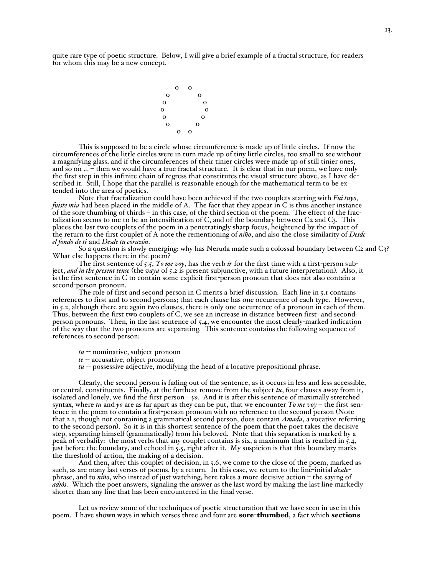quite rare type of poetic structure. Below, I will give a brief example of a fractal structure, for readers for whom this may be a new concept.



This is supposed to be a circle whose circumference is made up of little circles. If now the circumferences of the little circles were in turn made up of tiny little circles, too small to see without a magnifying glass, and if the circumferences of their tinier circles were made up of still tinier ones, and so on ... – then we would have a true fractal structure. It is clear that in our poem, we have only the first step in this infinite chain of regress that constitutes the visual structure above, as I have described it. Still, I hope that the parallel is reasonable enough for the mathematical term to be extended into the area of poetics.<br>Note that fractalization could have been achieved if the two couplets starting with *Fui tuyo*,

fuiste mia had been placed in the middle of A. The fact that they appear in C is thus another instance of the sore thumbing of thirds – in this case, of the third section of the poem. The effect of the fractalization seems to me to be an intensification of C, and of the boundary between C2 and C3. This places the last two couplets of the poem in a penetratingly sharp focus, heightened by the impact of the return to the first couplet of A note the rementioning of *niño*, and also the close similarity of *Desde el fondo de ti* and *Desde tu corazón*.

So a question is slowly emerging: why has Neruda made such a colossal boundary between C2 and C3? What else happens there in the poem?

The first sentence of 5.5, *Yo me voy*, has the verb *ir* for the first time with a first-person subject, *and in the present tense* (the *vaya* of 5.2 is present subjunctive, with a future interpretation). Also, it is the first sentence in C to contain some explicit first-person pronoun that does not also contain a second-person pronoun.

The role of first and second person in C merits a brief discussion. Each line in 5.1 contains references to first and to second persons; that each clause has one occurrence of each type. However, in 5.2, although there are again two clauses, there is only one occurrence of a pronoun in each of them. Thus, between the first two couplets of C, we see an increase in distance between first- and secondperson pronouns. Then, in the last sentence of 5.4, we encounter the most clearly-marked indication of the way that the two pronouns are separating. This sentence contains the following sequence of references to second person:

*tu* -- nominative, subject pronoun

- *te* -- accusative, object pronoun
- *tu* -- possessive adjective, modifying the head of a locative prepositional phrase.

Clearly, the second person is fading out of the sentence, as it occurs in less and less accessible, or central, constituents. Finally, at the furthest remove from the subject *tu*, four clauses away from it, isolated and lonely, we find the first person – *yo*. And it is after this sentence of maximally stretched syntax, where *tu* and *yo* are as far apart as they can be put, that we encounter *Yo me voy* – the first sentence in the poem to contain a first-person pronoun with no reference to the second person (Note that 2.1, though not containing a grammatical second person, does contain *Amada*, a vocative referring to the second person). So it is in this shortest sentence of the poem that the poet takes the decisive step, separating himself (grammatically) from his beloved. Note that this separation is marked by a peak of verbality: the most verbs that any couplet contains is six, a maximum that is reached in 5.4, just before the boundary, and echoed in 5.5, right after it. My suspicion is that this boundary marks the threshold of action, the making of a decision.

And then, after this couplet of decision, in 5.6, we come to the close of the poem, marked as such, as are many last verses of poems, by a return. In this case, we return to the line-initial *desde*phrase, and to *niño*, who instead of just watching, here takes a more decisive action – the saying of *adiós*. Which the poet answers, signaling the answer as the last word by making the last line markedly shorter than any line that has been encountered in the final verse.

Let us review some of the techniques of poetic structuration that we have seen in use in this poem. I have shown ways in which verses three and four are sore-thumbed, a fact which sections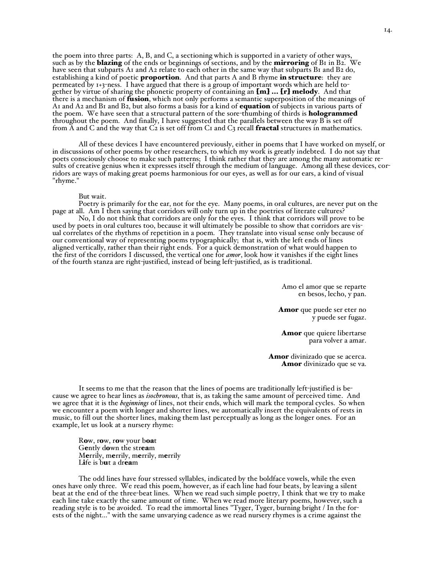the poem into three parts: A, B, and C, a sectioning which is supported in a variety of other ways, such as by the **blazing** of the ends or beginnings of sections, and by the **mirroring** of B1 in B2. We have seen that subparts A1 and A2 relate to each other in the same way that subparts B1 and B2 do, establishing a kind of poetic **proportion**. And that parts A and B rhyme in structure: they are permeated by 1+3-ness. I have argued that there is a group of important words which are held together by virtue of sharing the phonetic property of containing an [m] ... [r] melody. And that there is a mechanism of fusion, which not only performs a semantic superposition of the meanings of A1 and A2 and B1 and B2, but also forms a basis for a kind of equation of subjects in various parts of the poem. We have seen that a structural pattern of the sore-thumbing of thirds is **hologrammed** throughout the poem. And finally, I have suggested that the parallels between the way B is set off from  $\tilde{A}$  and  $C$  and the way that  $\tilde{C}$  is set off from  $C_1$  and  $C_3$  recall **fractal** structures in mathematics.

All of these devices I have encountered previously, either in poems that I have worked on myself, or in discussions of other poems by other researchers, to which my work is greatly indebted. I do not say that poets consciously choose to make such patterns; I think rather that they are among the many automatic results of creative genius when it expresses itself through the medium of language. Among all these devices, corridors are ways of making great poems harmonious for our eyes, as well as for our ears, a kind of visual "rhyme."

## But wait.

Poetry is primarily for the ear, not for the eye. Many poems, in oral cultures, are never put on the page at all. Am I then saying that corridors will only turn up in the poetries of literate cultures?

No, I do not think that corridors are only for the eyes. I think that corridors will prove to be used by poets in oral cultures too, because it will ultimately be possible to show that corridors are visual correlates of the rhythms of repetition in a poem. They translate into visual sense only because of our conventional way of representing poems typographically; that is, with the left ends of lines aligned vertically, rather than their right ends. For a quick demonstration of what would happen to the first of the corridors I discussed, the vertical one for *amor*, look how it vanishes if the eight lines of the fourth stanza are right-justified, instead of being left-justified, as is traditional.

> Amo el amor que se reparte en besos, lecho, y pan.

Amor que puede ser eter no y puede ser fugaz.

Amor que quiere libertarse para volver a amar.

Amor divinizado que se acerca. Amor divinizado que se va.

It seems to me that the reason that the lines of poems are traditionally left-justified is because we agree to hear lines as *isochronous*, that is, as taking the same amount of perceived time. And we agree that it is the *beginnings* of lines, not their ends, which will mark the temporal cycles. So when we encounter a poem with longer and shorter lines, we automatically insert the equivalents of rests in music, to fill out the shorter lines, making them last perceptually as long as the longer ones. For an example, let us look at a nursery rhyme:

Row, row, row your boat Gently down the stream Merrily, merrily, merrily, merrily Life is but a dream

The odd lines have four stressed syllables, indicated by the boldface vowels, while the even ones have only three. We read this poem, however, as if each line had four beats, by leaving a silent beat at the end of the three-beat lines. When we read such simple poetry, I think that we try to make each line take exactly the same amount of time. When we read more literary poems, however, such a reading style is to be avoided. To read the immortal lines "Tyger, Tyger, burning bright / In the forests of the night..." with the same unvarying cadence as we read nursery rhymes is a crime against the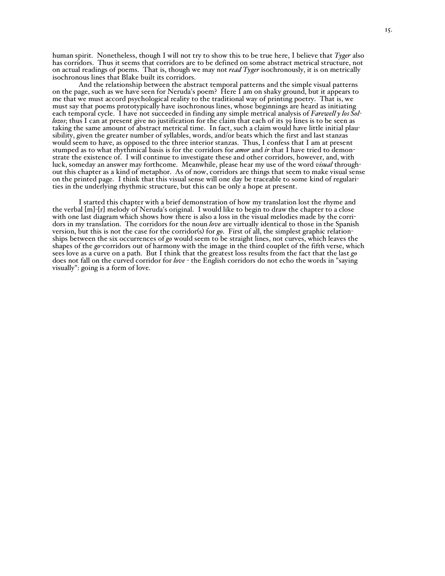human spirit. Nonetheless, though I will not try to show this to be true here, I believe that *Tyger* also has corridors. Thus it seems that corridors are to be defined on some abstract metrical structure, not on actual readings of poems. That is, though we may not *read Tyger* isochronously, it is on metrically isochronous lines that Blake built its corridors.

And the relationship between the abstract temporal patterns and the simple visual patterns on the page, such as we have seen for Neruda's poem? Here I am on shaky ground, but it appears to me that we must accord psychological reality to the traditional way of printing poetry. That is, we must say that poems prototypically have isochronous lines, whose beginnings are heard as initiating each temporal cycle. I have not succeeded in finding any simple metrical analysis of *Farewell y los Sollozos*; thus I can at present give no justification for the claim that each of its 39 lines is to be seen as taking the same amount of abstract metrical time. In fact, such a claim would have little initial plausibility, given the greater number of syllables, words, and/or beats which the first and last stanzas would seem to have, as opposed to the three interior stanzas. Thus, I confess that I am at present stumped as to what rhythmical basis is for the corridors for *amor* and *ir* that I have tried to demonstrate the existence of. I will continue to investigate these and other corridors, however, and, with luck, someday an answer may forthcome. Meanwhile, please hear my use of the word *visual* throughout this chapter as a kind of metaphor. As of now, corridors are things that seem to make visual sense on the printed page. I think that this visual sense will one day be traceable to some kind of regularities in the underlying rhythmic structure, but this can be only a hope at present.

I started this chapter with a brief demonstration of how my translation lost the rhyme and the verbal [m]-[r] melody of Neruda's original. I would like to begin to draw the chapter to a close with one last diagram which shows how there is also a loss in the visual melodies made by the corridors in my translation. The corridors for the noun *love* are virtually identical to those in the Spanish version, but this is not the case for the corridor(s) for *go*. First of all, the simplest graphic relationships between the six occurrences of *go* would seem to be straight lines, not curves, which leaves the shapes of the *go*-corridors out of harmony with the image in the third couplet of the fifth verse, which sees love as a curve on a path. But I think that the greatest loss results from the fact that the last *go* does not fall on the curved corridor for *love* - the English corridors do not echo the words in "saying visually": going is a form of love.